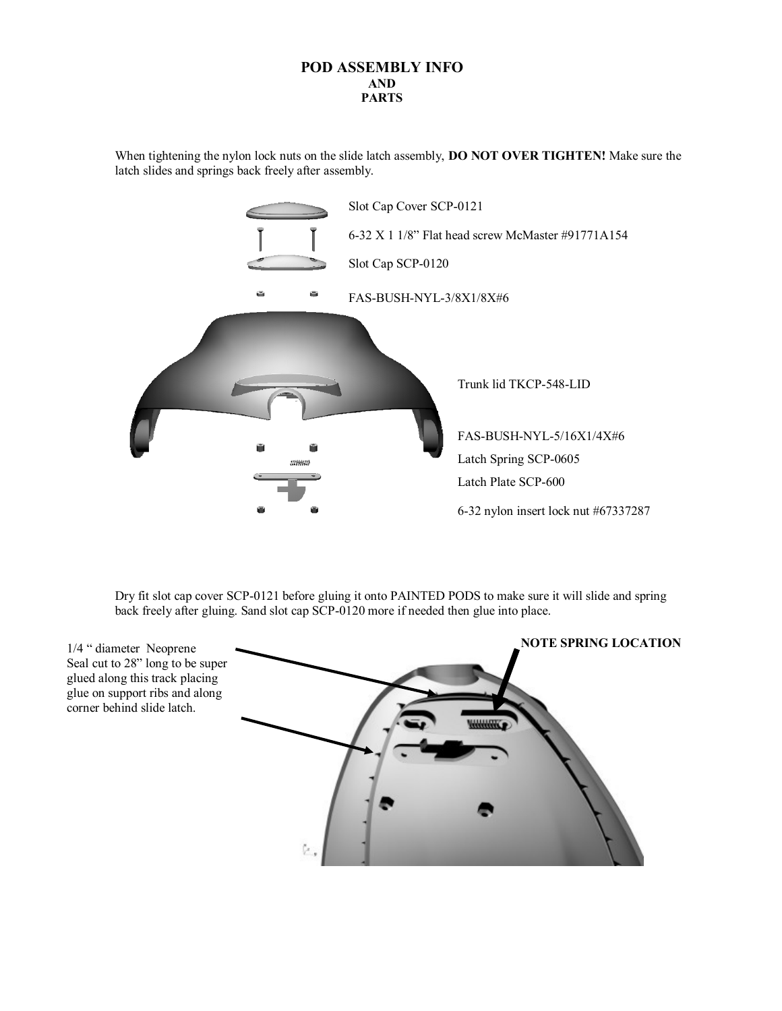## **POD ASSEMBLY INFO AND PARTS**

When tightening the nylon lock nuts on the slide latch assembly, **DO NOT OVER TIGHTEN!** Make sure the latch slides and springs back freely after assembly.



Dry fit slot cap cover SCP-0121 before gluing it onto PAINTED PODS to make sure it will slide and spring back freely after gluing. Sand slot cap SCP-0120 more if needed then glue into place.



1/4 " diameter Neoprene Seal cut to 28" long to be super glued along this track placing glue on support ribs and along corner behind slide latch.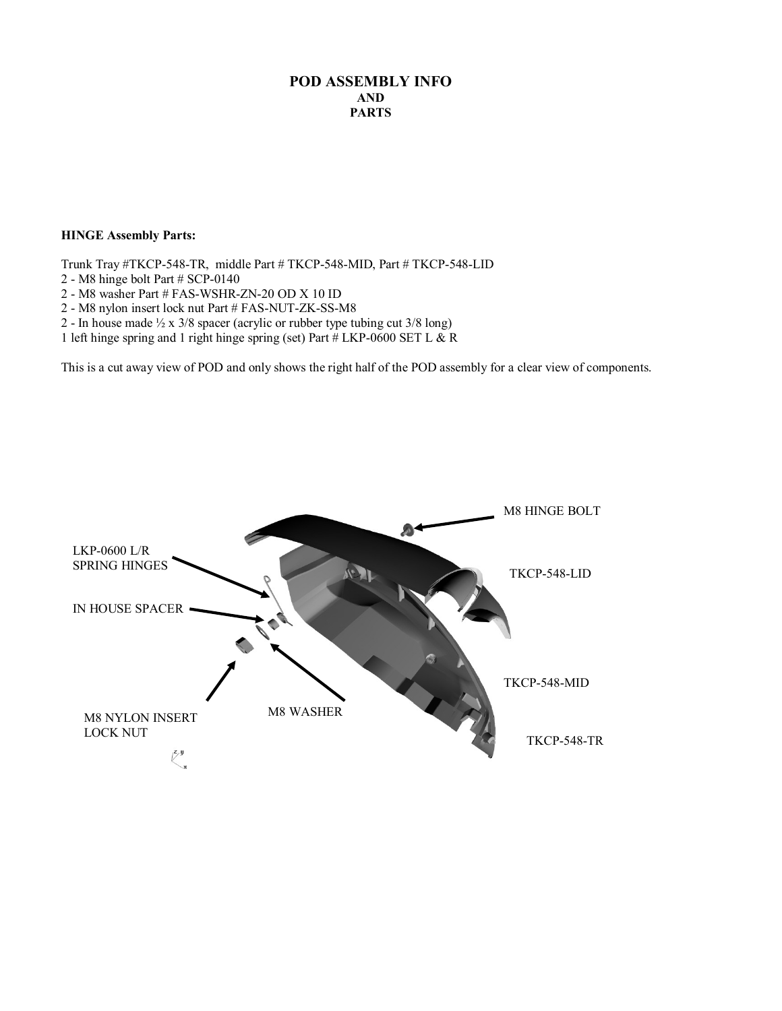## **POD ASSEMBLY INFO AND PARTS**

## **HINGE Assembly Parts:**

Trunk Tray #TKCP-548-TR, middle Part # TKCP-548-MID, Part # TKCP-548-LID

- 2 M8 hinge bolt Part # SCP-0140
- 2 M8 washer Part # FAS-WSHR-ZN-20 OD X 10 ID
- 2 M8 nylon insert lock nut Part # FAS-NUT-ZK-SS-M8
- 2 In house made  $\frac{1}{2}$  x 3/8 spacer (acrylic or rubber type tubing cut 3/8 long)
- 1 left hinge spring and 1 right hinge spring (set) Part  $\#$  LKP-0600 SET L & R

This is a cut away view of POD and only shows the right half of the POD assembly for a clear view of components.